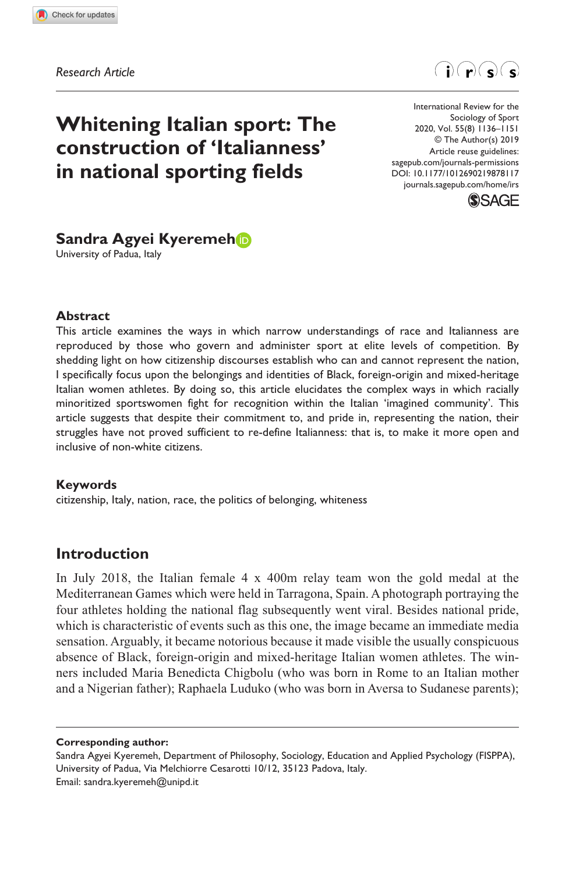**8781[17](http://crossmark.crossref.org/dialog/?doi=10.1177%2F1012690219878117&domain=pdf&date_stamp=2019-09-30)**IRS0010.1177/1012690219878117International Review for the Sociology of Sport**Kyeremeh**

*Research Article*



# **Whitening Italian sport: The construction of 'Italianness' in national sporting fields**

https://doi.org/10.1177/1012690219878117 DOI: 10.1177/1012690219878117 International Review for the Sociology of Sport 2020, Vol. 55(8) 1136–1151 © The Author(s) 2019 Article reuse guidelines: [sagepub.com/journals-permissions](https://uk.sagepub.com/en-gb/journals-permissions) [journals.sagepub.com/home/irs](https://journals.sagepub.com/home/irs)



# **Sandra Agyei Kyeremeh**

University of Padua, Italy

#### **Abstract**

This article examines the ways in which narrow understandings of race and Italianness are reproduced by those who govern and administer sport at elite levels of competition. By shedding light on how citizenship discourses establish who can and cannot represent the nation, I specifically focus upon the belongings and identities of Black, foreign-origin and mixed-heritage Italian women athletes. By doing so, this article elucidates the complex ways in which racially minoritized sportswomen fight for recognition within the Italian 'imagined community'. This article suggests that despite their commitment to, and pride in, representing the nation, their struggles have not proved sufficient to re-define Italianness: that is, to make it more open and inclusive of non-white citizens.

#### **Keywords**

citizenship, Italy, nation, race, the politics of belonging, whiteness

#### **Introduction**

In July 2018, the Italian female  $4 \times 400$ m relay team won the gold medal at the Mediterranean Games which were held in Tarragona, Spain. A photograph portraying the four athletes holding the national flag subsequently went viral. Besides national pride, which is characteristic of events such as this one, the image became an immediate media sensation. Arguably, it became notorious because it made visible the usually conspicuous absence of Black, foreign-origin and mixed-heritage Italian women athletes. The winners included Maria Benedicta Chigbolu (who was born in Rome to an Italian mother and a Nigerian father); Raphaela Luduko (who was born in Aversa to Sudanese parents);

**Corresponding author:**

Sandra Agyei Kyeremeh, Department of Philosophy, Sociology, Education and Applied Psychology (FISPPA), University of Padua, Via Melchiorre Cesarotti 10/12, 35123 Padova, Italy. Email: sandra.kyeremeh@unipd.it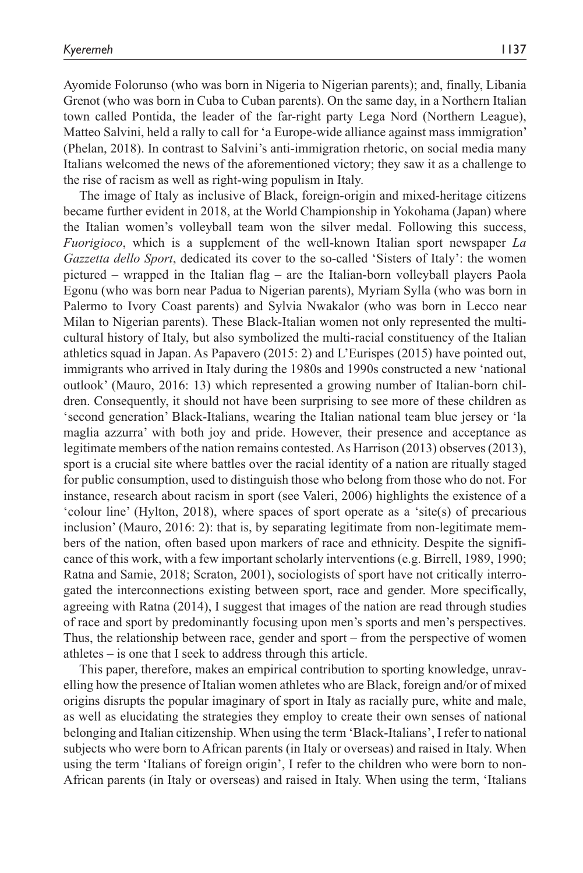Ayomide Folorunso (who was born in Nigeria to Nigerian parents); and, finally, Libania Grenot (who was born in Cuba to Cuban parents). On the same day, in a Northern Italian town called Pontida, the leader of the far-right party Lega Nord (Northern League), Matteo Salvini, held a rally to call for 'a Europe-wide alliance against mass immigration' (Phelan, 2018). In contrast to Salvini's anti-immigration rhetoric, on social media many Italians welcomed the news of the aforementioned victory; they saw it as a challenge to the rise of racism as well as right-wing populism in Italy.

The image of Italy as inclusive of Black, foreign-origin and mixed-heritage citizens became further evident in 2018, at the World Championship in Yokohama (Japan) where the Italian women's volleyball team won the silver medal. Following this success, *Fuorigioco*, which is a supplement of the well-known Italian sport newspaper *La Gazzetta dello Sport*, dedicated its cover to the so-called 'Sisters of Italy': the women pictured – wrapped in the Italian flag – are the Italian-born volleyball players Paola Egonu (who was born near Padua to Nigerian parents), Myriam Sylla (who was born in Palermo to Ivory Coast parents) and Sylvia Nwakalor (who was born in Lecco near Milan to Nigerian parents). These Black-Italian women not only represented the multicultural history of Italy, but also symbolized the multi-racial constituency of the Italian athletics squad in Japan. As Papavero (2015: 2) and L'Eurispes (2015) have pointed out, immigrants who arrived in Italy during the 1980s and 1990s constructed a new 'national outlook' (Mauro, 2016: 13) which represented a growing number of Italian-born children. Consequently, it should not have been surprising to see more of these children as 'second generation' Black-Italians, wearing the Italian national team blue jersey or 'la maglia azzurra' with both joy and pride. However, their presence and acceptance as legitimate members of the nation remains contested. As Harrison (2013) observes (2013), sport is a crucial site where battles over the racial identity of a nation are ritually staged for public consumption, used to distinguish those who belong from those who do not. For instance, research about racism in sport (see Valeri, 2006) highlights the existence of a 'colour line' (Hylton, 2018), where spaces of sport operate as a 'site(s) of precarious inclusion' (Mauro, 2016: 2): that is, by separating legitimate from non-legitimate members of the nation, often based upon markers of race and ethnicity. Despite the significance of this work, with a few important scholarly interventions (e.g. Birrell, 1989, 1990; Ratna and Samie, 2018; Scraton, 2001), sociologists of sport have not critically interrogated the interconnections existing between sport, race and gender. More specifically, agreeing with Ratna (2014), I suggest that images of the nation are read through studies of race and sport by predominantly focusing upon men's sports and men's perspectives. Thus, the relationship between race, gender and sport – from the perspective of women athletes – is one that I seek to address through this article.

This paper, therefore, makes an empirical contribution to sporting knowledge, unravelling how the presence of Italian women athletes who are Black, foreign and/or of mixed origins disrupts the popular imaginary of sport in Italy as racially pure, white and male, as well as elucidating the strategies they employ to create their own senses of national belonging and Italian citizenship. When using the term 'Black-Italians', I refer to national subjects who were born to African parents (in Italy or overseas) and raised in Italy. When using the term 'Italians of foreign origin', I refer to the children who were born to non-African parents (in Italy or overseas) and raised in Italy. When using the term, 'Italians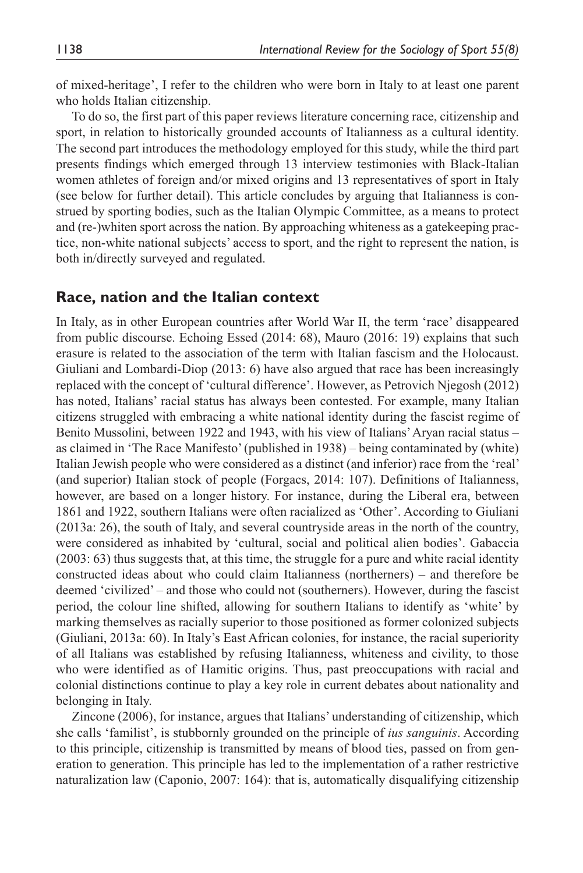of mixed-heritage', I refer to the children who were born in Italy to at least one parent who holds Italian citizenship.

To do so, the first part of this paper reviews literature concerning race, citizenship and sport, in relation to historically grounded accounts of Italianness as a cultural identity. The second part introduces the methodology employed for this study, while the third part presents findings which emerged through 13 interview testimonies with Black-Italian women athletes of foreign and/or mixed origins and 13 representatives of sport in Italy (see below for further detail). This article concludes by arguing that Italianness is construed by sporting bodies, such as the Italian Olympic Committee, as a means to protect and (re-)whiten sport across the nation. By approaching whiteness as a gatekeeping practice, non-white national subjects' access to sport, and the right to represent the nation, is both in/directly surveyed and regulated.

#### **Race, nation and the Italian context**

In Italy, as in other European countries after World War II, the term 'race' disappeared from public discourse. Echoing Essed (2014: 68), Mauro (2016: 19) explains that such erasure is related to the association of the term with Italian fascism and the Holocaust. Giuliani and Lombardi-Diop (2013: 6) have also argued that race has been increasingly replaced with the concept of 'cultural difference'. However, as Petrovich Njegosh (2012) has noted, Italians' racial status has always been contested. For example, many Italian citizens struggled with embracing a white national identity during the fascist regime of Benito Mussolini, between 1922 and 1943, with his view of Italians' Aryan racial status – as claimed in 'The Race Manifesto' (published in 1938) – being contaminated by (white) Italian Jewish people who were considered as a distinct (and inferior) race from the 'real' (and superior) Italian stock of people (Forgacs, 2014: 107). Definitions of Italianness, however, are based on a longer history. For instance, during the Liberal era, between 1861 and 1922, southern Italians were often racialized as 'Other'. According to Giuliani (2013a: 26), the south of Italy, and several countryside areas in the north of the country, were considered as inhabited by 'cultural, social and political alien bodies'. Gabaccia (2003: 63) thus suggests that, at this time, the struggle for a pure and white racial identity constructed ideas about who could claim Italianness (northerners) – and therefore be deemed 'civilized' – and those who could not (southerners). However, during the fascist period, the colour line shifted, allowing for southern Italians to identify as 'white' by marking themselves as racially superior to those positioned as former colonized subjects (Giuliani, 2013a: 60). In Italy's East African colonies, for instance, the racial superiority of all Italians was established by refusing Italianness, whiteness and civility, to those who were identified as of Hamitic origins. Thus, past preoccupations with racial and colonial distinctions continue to play a key role in current debates about nationality and belonging in Italy.

Zincone (2006), for instance, argues that Italians' understanding of citizenship, which she calls 'familist', is stubbornly grounded on the principle of *ius sanguinis*. According to this principle, citizenship is transmitted by means of blood ties, passed on from generation to generation. This principle has led to the implementation of a rather restrictive naturalization law (Caponio, 2007: 164): that is, automatically disqualifying citizenship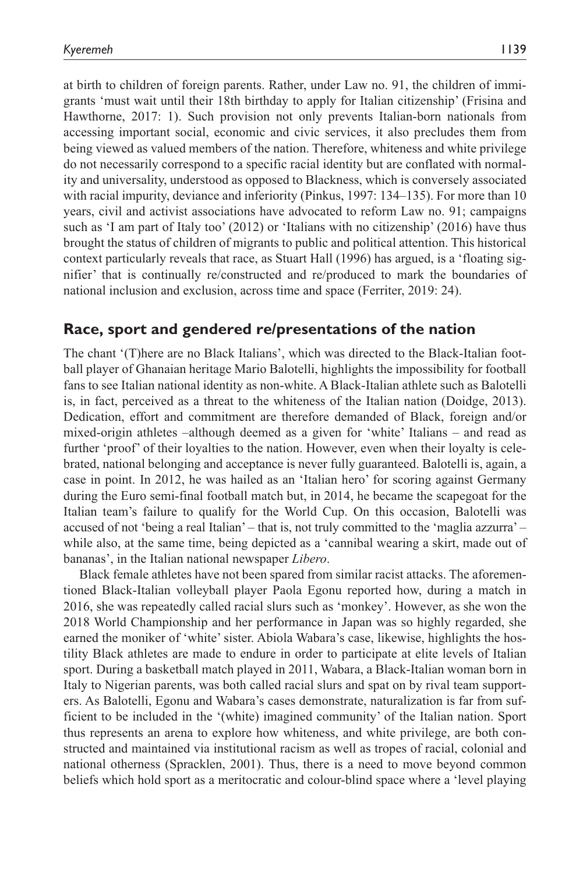at birth to children of foreign parents. Rather, under Law no. 91, the children of immigrants 'must wait until their 18th birthday to apply for Italian citizenship' (Frisina and Hawthorne, 2017: 1). Such provision not only prevents Italian-born nationals from accessing important social, economic and civic services, it also precludes them from being viewed as valued members of the nation. Therefore, whiteness and white privilege do not necessarily correspond to a specific racial identity but are conflated with normality and universality, understood as opposed to Blackness, which is conversely associated with racial impurity, deviance and inferiority (Pinkus, 1997: 134–135). For more than 10 years, civil and activist associations have advocated to reform Law no. 91; campaigns such as 'I am part of Italy too' (2012) or 'Italians with no citizenship' (2016) have thus brought the status of children of migrants to public and political attention. This historical context particularly reveals that race, as Stuart Hall (1996) has argued, is a 'floating signifier' that is continually re/constructed and re/produced to mark the boundaries of national inclusion and exclusion, across time and space (Ferriter, 2019: 24).

#### **Race, sport and gendered re/presentations of the nation**

The chant '(T)here are no Black Italians', which was directed to the Black-Italian football player of Ghanaian heritage Mario Balotelli, highlights the impossibility for football fans to see Italian national identity as non-white. A Black-Italian athlete such as Balotelli is, in fact, perceived as a threat to the whiteness of the Italian nation (Doidge, 2013). Dedication, effort and commitment are therefore demanded of Black, foreign and/or mixed-origin athletes –although deemed as a given for 'white' Italians – and read as further 'proof' of their loyalties to the nation. However, even when their loyalty is celebrated, national belonging and acceptance is never fully guaranteed. Balotelli is, again, a case in point. In 2012, he was hailed as an 'Italian hero' for scoring against Germany during the Euro semi-final football match but, in 2014, he became the scapegoat for the Italian team's failure to qualify for the World Cup. On this occasion, Balotelli was accused of not 'being a real Italian' – that is, not truly committed to the 'maglia azzurra' – while also, at the same time, being depicted as a 'cannibal wearing a skirt, made out of bananas', in the Italian national newspaper *Libero*.

Black female athletes have not been spared from similar racist attacks. The aforementioned Black-Italian volleyball player Paola Egonu reported how, during a match in 2016, she was repeatedly called racial slurs such as 'monkey'. However, as she won the 2018 World Championship and her performance in Japan was so highly regarded, she earned the moniker of 'white' sister. Abiola Wabara's case, likewise, highlights the hostility Black athletes are made to endure in order to participate at elite levels of Italian sport. During a basketball match played in 2011, Wabara, a Black-Italian woman born in Italy to Nigerian parents, was both called racial slurs and spat on by rival team supporters. As Balotelli, Egonu and Wabara's cases demonstrate, naturalization is far from sufficient to be included in the '(white) imagined community' of the Italian nation. Sport thus represents an arena to explore how whiteness, and white privilege, are both constructed and maintained via institutional racism as well as tropes of racial, colonial and national otherness (Spracklen, 2001). Thus, there is a need to move beyond common beliefs which hold sport as a meritocratic and colour-blind space where a 'level playing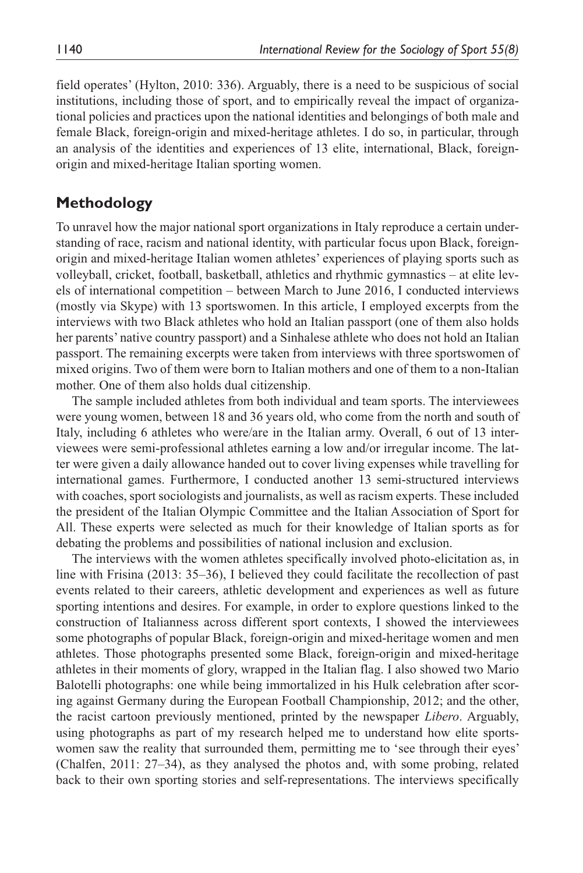field operates' (Hylton, 2010: 336). Arguably, there is a need to be suspicious of social institutions, including those of sport, and to empirically reveal the impact of organizational policies and practices upon the national identities and belongings of both male and female Black, foreign-origin and mixed-heritage athletes. I do so, in particular, through an analysis of the identities and experiences of 13 elite, international, Black, foreignorigin and mixed-heritage Italian sporting women.

### **Methodology**

To unravel how the major national sport organizations in Italy reproduce a certain understanding of race, racism and national identity, with particular focus upon Black, foreignorigin and mixed-heritage Italian women athletes' experiences of playing sports such as volleyball, cricket, football, basketball, athletics and rhythmic gymnastics – at elite levels of international competition – between March to June 2016, I conducted interviews (mostly via Skype) with 13 sportswomen. In this article, I employed excerpts from the interviews with two Black athletes who hold an Italian passport (one of them also holds her parents' native country passport) and a Sinhalese athlete who does not hold an Italian passport. The remaining excerpts were taken from interviews with three sportswomen of mixed origins. Two of them were born to Italian mothers and one of them to a non-Italian mother. One of them also holds dual citizenship.

The sample included athletes from both individual and team sports. The interviewees were young women, between 18 and 36 years old, who come from the north and south of Italy, including 6 athletes who were/are in the Italian army. Overall, 6 out of 13 interviewees were semi-professional athletes earning a low and/or irregular income. The latter were given a daily allowance handed out to cover living expenses while travelling for international games. Furthermore, I conducted another 13 semi-structured interviews with coaches, sport sociologists and journalists, as well as racism experts. These included the president of the Italian Olympic Committee and the Italian Association of Sport for All. These experts were selected as much for their knowledge of Italian sports as for debating the problems and possibilities of national inclusion and exclusion.

The interviews with the women athletes specifically involved photo-elicitation as, in line with Frisina (2013: 35–36), I believed they could facilitate the recollection of past events related to their careers, athletic development and experiences as well as future sporting intentions and desires. For example, in order to explore questions linked to the construction of Italianness across different sport contexts, I showed the interviewees some photographs of popular Black, foreign-origin and mixed-heritage women and men athletes. Those photographs presented some Black, foreign-origin and mixed-heritage athletes in their moments of glory, wrapped in the Italian flag. I also showed two Mario Balotelli photographs: one while being immortalized in his Hulk celebration after scoring against Germany during the European Football Championship, 2012; and the other, the racist cartoon previously mentioned, printed by the newspaper *Libero*. Arguably, using photographs as part of my research helped me to understand how elite sportswomen saw the reality that surrounded them, permitting me to 'see through their eyes' (Chalfen, 2011: 27–34), as they analysed the photos and, with some probing, related back to their own sporting stories and self-representations. The interviews specifically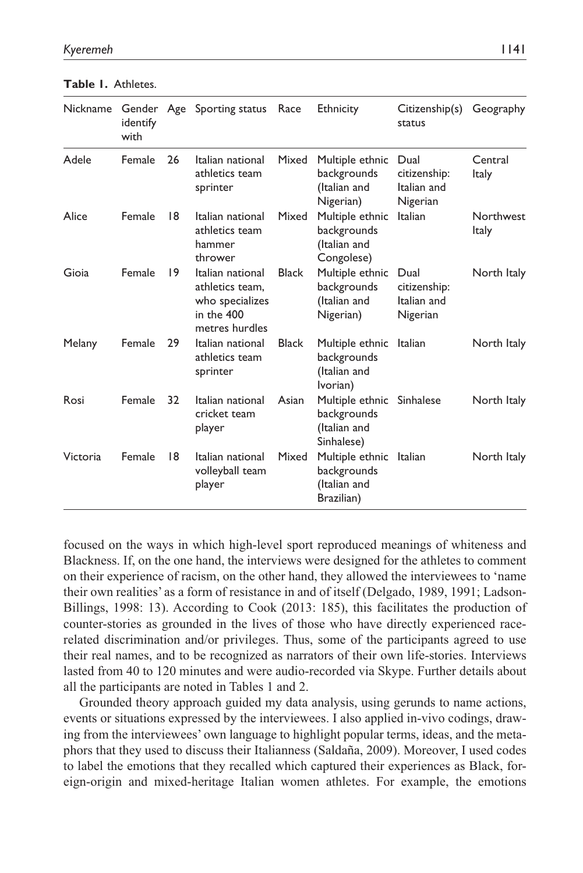| <b>Nickname</b> | identify<br>with |    | Gender Age Sporting status                                                             | Race         | Ethnicity                                                              | Citizenship(s)<br>status                        | Geography                        |
|-----------------|------------------|----|----------------------------------------------------------------------------------------|--------------|------------------------------------------------------------------------|-------------------------------------------------|----------------------------------|
| Adele           | Female           | 26 | Italian national<br>athletics team<br>sprinter                                         | Mixed        | Multiple ethnic<br>backgrounds<br>(Italian and<br>Nigerian)            | Dual<br>citizenship:<br>Italian and<br>Nigerian | Central<br><b>Italy</b>          |
| Alice           | Female           | 18 | Italian national<br>athletics team<br>hammer<br>thrower                                | Mixed        | Multiple ethnic<br>backgrounds<br>(Italian and<br>Congolese)           | Italian                                         | <b>Northwest</b><br><b>Italy</b> |
| Gioia           | Female           | 9  | Italian national<br>athletics team.<br>who specializes<br>in the 400<br>metres hurdles | <b>Black</b> | Multiple ethnic<br>backgrounds<br>(Italian and<br>Nigerian)            | Dual<br>citizenship:<br>Italian and<br>Nigerian | North Italy                      |
| Melany          | Female           | 29 | Italian national<br>athletics team<br>sprinter                                         | <b>Black</b> | Multiple ethnic<br>backgrounds<br>(Italian and<br>Ivorian)             | Italian                                         | North Italy                      |
| Rosi            | Female           | 32 | Italian national<br>cricket team<br>player                                             | Asian        | Multiple ethnic Sinhalese<br>backgrounds<br>(Italian and<br>Sinhalese) |                                                 | North Italy                      |
| Victoria        | Female           | 18 | Italian national<br>volleyball team<br>player                                          | Mixed        | Multiple ethnic<br>backgrounds<br>(Italian and<br>Brazilian)           | Italian                                         | North Italy                      |

**Table 1.** Athletes.

focused on the ways in which high-level sport reproduced meanings of whiteness and Blackness. If, on the one hand, the interviews were designed for the athletes to comment on their experience of racism, on the other hand, they allowed the interviewees to 'name their own realities' as a form of resistance in and of itself (Delgado, 1989, 1991; Ladson-Billings, 1998: 13). According to Cook (2013: 185), this facilitates the production of counter-stories as grounded in the lives of those who have directly experienced racerelated discrimination and/or privileges. Thus, some of the participants agreed to use their real names, and to be recognized as narrators of their own life-stories. Interviews lasted from 40 to 120 minutes and were audio-recorded via Skype. Further details about all the participants are noted in Tables 1 and 2.

Grounded theory approach guided my data analysis, using gerunds to name actions, events or situations expressed by the interviewees. I also applied in-vivo codings, drawing from the interviewees' own language to highlight popular terms, ideas, and the metaphors that they used to discuss their Italianness (Saldaña, 2009). Moreover, I used codes to label the emotions that they recalled which captured their experiences as Black, foreign-origin and mixed-heritage Italian women athletes. For example, the emotions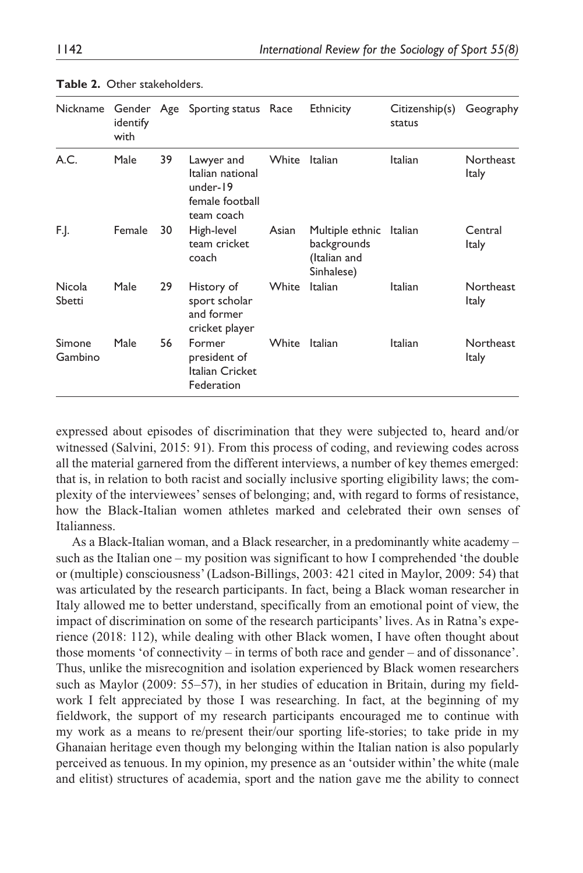| Nickname          | identify<br>with |    | Gender Age Sporting status Race                                             |       | Ethnicity                                                            | Citizenship(s)<br>status | Geography                 |
|-------------------|------------------|----|-----------------------------------------------------------------------------|-------|----------------------------------------------------------------------|--------------------------|---------------------------|
| A.C.              | Male             | 39 | Lawyer and<br>Italian national<br>under-19<br>female football<br>team coach | White | Italian                                                              | Italian                  | Northeast<br><b>Italy</b> |
| F.J.              | Female           | 30 | High-level<br>team cricket<br>coach                                         | Asian | Multiple ethnic Italian<br>backgrounds<br>(Italian and<br>Sinhalese) |                          | Central<br><b>Italy</b>   |
| Nicola<br>Sbetti  | Male             | 29 | History of<br>sport scholar<br>and former<br>cricket player                 | White | <b>Italian</b>                                                       | Italian                  | Northeast<br><b>Italy</b> |
| Simone<br>Gambino | Male             | 56 | Former<br>president of<br>Italian Cricket<br>Federation                     | White | Italian                                                              | Italian                  | Northeast<br><b>Italy</b> |

**Table 2.** Other stakeholders.

expressed about episodes of discrimination that they were subjected to, heard and/or witnessed (Salvini, 2015: 91). From this process of coding, and reviewing codes across all the material garnered from the different interviews, a number of key themes emerged: that is, in relation to both racist and socially inclusive sporting eligibility laws; the complexity of the interviewees' senses of belonging; and, with regard to forms of resistance, how the Black-Italian women athletes marked and celebrated their own senses of Italianness.

As a Black-Italian woman, and a Black researcher, in a predominantly white academy – such as the Italian one – my position was significant to how I comprehended 'the double or (multiple) consciousness' (Ladson-Billings, 2003: 421 cited in Maylor, 2009: 54) that was articulated by the research participants. In fact, being a Black woman researcher in Italy allowed me to better understand, specifically from an emotional point of view, the impact of discrimination on some of the research participants' lives. As in Ratna's experience (2018: 112), while dealing with other Black women, I have often thought about those moments 'of connectivity – in terms of both race and gender – and of dissonance'. Thus, unlike the misrecognition and isolation experienced by Black women researchers such as Maylor (2009: 55–57), in her studies of education in Britain, during my fieldwork I felt appreciated by those I was researching. In fact, at the beginning of my fieldwork, the support of my research participants encouraged me to continue with my work as a means to re/present their/our sporting life-stories; to take pride in my Ghanaian heritage even though my belonging within the Italian nation is also popularly perceived as tenuous. In my opinion, my presence as an 'outsider within' the white (male and elitist) structures of academia, sport and the nation gave me the ability to connect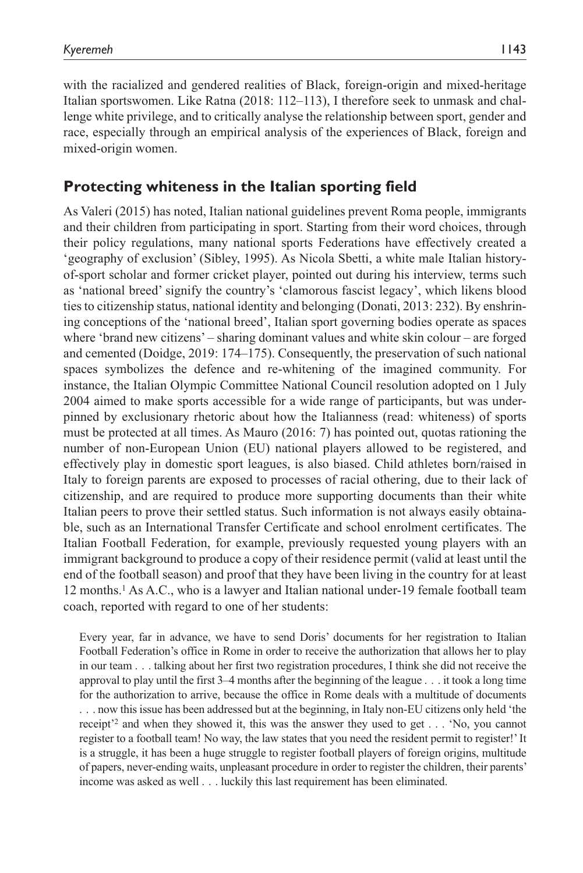with the racialized and gendered realities of Black, foreign-origin and mixed-heritage Italian sportswomen. Like Ratna (2018: 112–113), I therefore seek to unmask and challenge white privilege, and to critically analyse the relationship between sport, gender and race, especially through an empirical analysis of the experiences of Black, foreign and mixed-origin women.

## **Protecting whiteness in the Italian sporting field**

As Valeri (2015) has noted, Italian national guidelines prevent Roma people, immigrants and their children from participating in sport. Starting from their word choices, through their policy regulations, many national sports Federations have effectively created a 'geography of exclusion' (Sibley, 1995). As Nicola Sbetti, a white male Italian historyof-sport scholar and former cricket player, pointed out during his interview, terms such as 'national breed' signify the country's 'clamorous fascist legacy', which likens blood ties to citizenship status, national identity and belonging (Donati, 2013: 232). By enshrining conceptions of the 'national breed', Italian sport governing bodies operate as spaces where 'brand new citizens' – sharing dominant values and white skin colour – are forged and cemented (Doidge, 2019: 174–175). Consequently, the preservation of such national spaces symbolizes the defence and re-whitening of the imagined community. For instance, the Italian Olympic Committee National Council resolution adopted on 1 July 2004 aimed to make sports accessible for a wide range of participants, but was underpinned by exclusionary rhetoric about how the Italianness (read: whiteness) of sports must be protected at all times. As Mauro (2016: 7) has pointed out, quotas rationing the number of non-European Union (EU) national players allowed to be registered, and effectively play in domestic sport leagues, is also biased. Child athletes born/raised in Italy to foreign parents are exposed to processes of racial othering, due to their lack of citizenship, and are required to produce more supporting documents than their white Italian peers to prove their settled status. Such information is not always easily obtainable, such as an International Transfer Certificate and school enrolment certificates. The Italian Football Federation, for example, previously requested young players with an immigrant background to produce a copy of their residence permit (valid at least until the end of the football season) and proof that they have been living in the country for at least 12 months.1 As A.C., who is a lawyer and Italian national under-19 female football team coach, reported with regard to one of her students:

Every year, far in advance, we have to send Doris' documents for her registration to Italian Football Federation's office in Rome in order to receive the authorization that allows her to play in our team . . . talking about her first two registration procedures, I think she did not receive the approval to play until the first 3–4 months after the beginning of the league . . . it took a long time for the authorization to arrive, because the office in Rome deals with a multitude of documents . . . now this issue has been addressed but at the beginning, in Italy non-EU citizens only held 'the receipt'2 and when they showed it, this was the answer they used to get . . . 'No, you cannot register to a football team! No way, the law states that you need the resident permit to register!' It is a struggle, it has been a huge struggle to register football players of foreign origins, multitude of papers, never-ending waits, unpleasant procedure in order to register the children, their parents' income was asked as well . . . luckily this last requirement has been eliminated.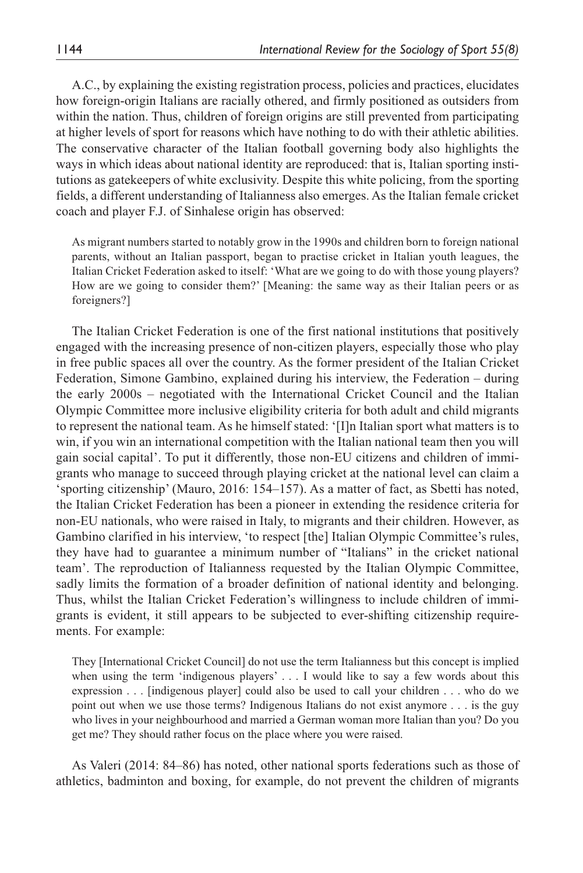A.C., by explaining the existing registration process, policies and practices, elucidates how foreign-origin Italians are racially othered, and firmly positioned as outsiders from within the nation. Thus, children of foreign origins are still prevented from participating at higher levels of sport for reasons which have nothing to do with their athletic abilities. The conservative character of the Italian football governing body also highlights the ways in which ideas about national identity are reproduced: that is, Italian sporting institutions as gatekeepers of white exclusivity. Despite this white policing, from the sporting fields, a different understanding of Italianness also emerges. As the Italian female cricket coach and player F.J. of Sinhalese origin has observed:

As migrant numbers started to notably grow in the 1990s and children born to foreign national parents, without an Italian passport, began to practise cricket in Italian youth leagues, the Italian Cricket Federation asked to itself: 'What are we going to do with those young players? How are we going to consider them?' [Meaning: the same way as their Italian peers or as foreigners?]

The Italian Cricket Federation is one of the first national institutions that positively engaged with the increasing presence of non-citizen players, especially those who play in free public spaces all over the country. As the former president of the Italian Cricket Federation, Simone Gambino, explained during his interview, the Federation – during the early 2000s – negotiated with the International Cricket Council and the Italian Olympic Committee more inclusive eligibility criteria for both adult and child migrants to represent the national team. As he himself stated: '[I]n Italian sport what matters is to win, if you win an international competition with the Italian national team then you will gain social capital'. To put it differently, those non-EU citizens and children of immigrants who manage to succeed through playing cricket at the national level can claim a 'sporting citizenship' (Mauro, 2016: 154–157). As a matter of fact, as Sbetti has noted, the Italian Cricket Federation has been a pioneer in extending the residence criteria for non-EU nationals, who were raised in Italy, to migrants and their children. However, as Gambino clarified in his interview, 'to respect [the] Italian Olympic Committee's rules, they have had to guarantee a minimum number of "Italians" in the cricket national team'. The reproduction of Italianness requested by the Italian Olympic Committee, sadly limits the formation of a broader definition of national identity and belonging. Thus, whilst the Italian Cricket Federation's willingness to include children of immigrants is evident, it still appears to be subjected to ever-shifting citizenship requirements. For example:

They [International Cricket Council] do not use the term Italianness but this concept is implied when using the term 'indigenous players' . . . I would like to say a few words about this expression . . . [indigenous player] could also be used to call your children . . . who do we point out when we use those terms? Indigenous Italians do not exist anymore . . . is the guy who lives in your neighbourhood and married a German woman more Italian than you? Do you get me? They should rather focus on the place where you were raised.

As Valeri (2014: 84–86) has noted, other national sports federations such as those of athletics, badminton and boxing, for example, do not prevent the children of migrants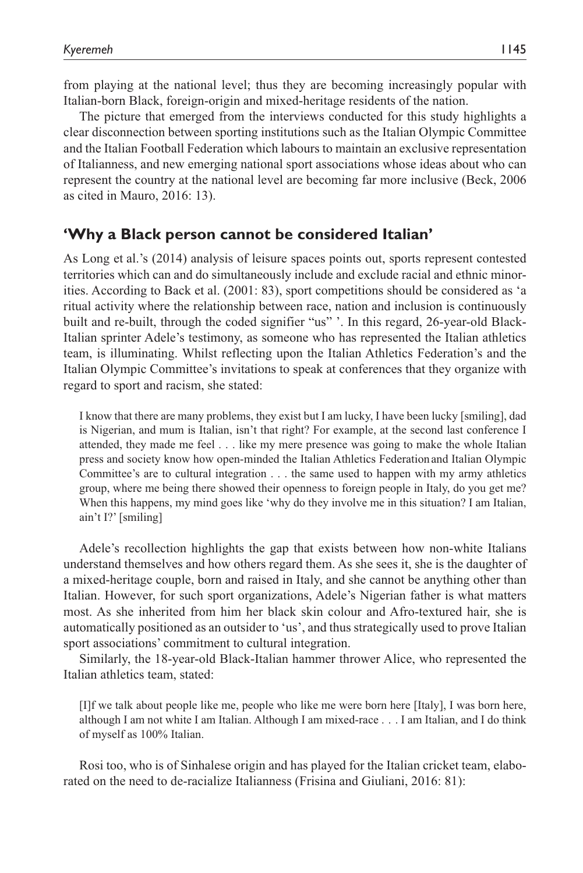from playing at the national level; thus they are becoming increasingly popular with Italian-born Black, foreign-origin and mixed-heritage residents of the nation.

The picture that emerged from the interviews conducted for this study highlights a clear disconnection between sporting institutions such as the Italian Olympic Committee and the Italian Football Federation which labours to maintain an exclusive representation of Italianness, and new emerging national sport associations whose ideas about who can represent the country at the national level are becoming far more inclusive (Beck, 2006 as cited in Mauro, 2016: 13).

## **'Why a Black person cannot be considered Italian'**

As Long et al.'s (2014) analysis of leisure spaces points out, sports represent contested territories which can and do simultaneously include and exclude racial and ethnic minorities. According to Back et al. (2001: 83), sport competitions should be considered as 'a ritual activity where the relationship between race, nation and inclusion is continuously built and re-built, through the coded signifier "us" '. In this regard, 26-year-old Black-Italian sprinter Adele's testimony, as someone who has represented the Italian athletics team, is illuminating. Whilst reflecting upon the Italian Athletics Federation's and the Italian Olympic Committee's invitations to speak at conferences that they organize with regard to sport and racism, she stated:

I know that there are many problems, they exist but I am lucky, I have been lucky [smiling], dad is Nigerian, and mum is Italian, isn't that right? For example, at the second last conference I attended, they made me feel . . . like my mere presence was going to make the whole Italian press and society know how open-minded the Italian Athletics Federationand Italian Olympic Committee's are to cultural integration . . . the same used to happen with my army athletics group, where me being there showed their openness to foreign people in Italy, do you get me? When this happens, my mind goes like 'why do they involve me in this situation? I am Italian, ain't I?' [smiling]

Adele's recollection highlights the gap that exists between how non-white Italians understand themselves and how others regard them. As she sees it, she is the daughter of a mixed-heritage couple, born and raised in Italy, and she cannot be anything other than Italian. However, for such sport organizations, Adele's Nigerian father is what matters most. As she inherited from him her black skin colour and Afro-textured hair, she is automatically positioned as an outsider to 'us', and thus strategically used to prove Italian sport associations' commitment to cultural integration.

Similarly, the 18-year-old Black-Italian hammer thrower Alice, who represented the Italian athletics team, stated:

[I]f we talk about people like me, people who like me were born here [Italy], I was born here, although I am not white I am Italian. Although I am mixed-race . . . I am Italian, and I do think of myself as 100% Italian.

Rosi too, who is of Sinhalese origin and has played for the Italian cricket team, elaborated on the need to de-racialize Italianness (Frisina and Giuliani, 2016: 81):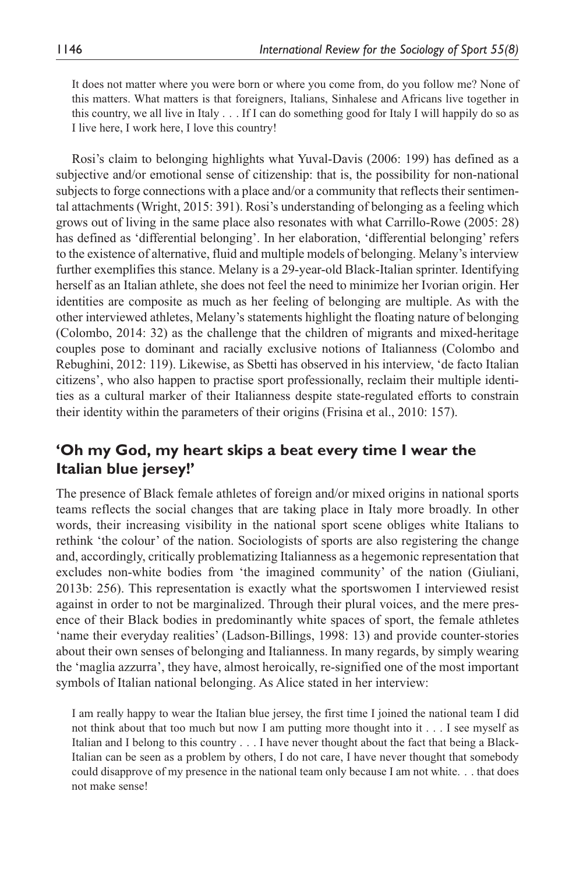It does not matter where you were born or where you come from, do you follow me? None of this matters. What matters is that foreigners, Italians, Sinhalese and Africans live together in this country, we all live in Italy . . . If I can do something good for Italy I will happily do so as I live here, I work here, I love this country!

Rosi's claim to belonging highlights what Yuval-Davis (2006: 199) has defined as a subjective and/or emotional sense of citizenship: that is, the possibility for non-national subjects to forge connections with a place and/or a community that reflects their sentimental attachments (Wright, 2015: 391). Rosi's understanding of belonging as a feeling which grows out of living in the same place also resonates with what Carrillo-Rowe (2005: 28) has defined as 'differential belonging'. In her elaboration, 'differential belonging' refers to the existence of alternative, fluid and multiple models of belonging. Melany's interview further exemplifies this stance. Melany is a 29-year-old Black-Italian sprinter. Identifying herself as an Italian athlete, she does not feel the need to minimize her Ivorian origin. Her identities are composite as much as her feeling of belonging are multiple. As with the other interviewed athletes, Melany's statements highlight the floating nature of belonging (Colombo, 2014: 32) as the challenge that the children of migrants and mixed-heritage couples pose to dominant and racially exclusive notions of Italianness (Colombo and Rebughini, 2012: 119). Likewise, as Sbetti has observed in his interview, 'de facto Italian citizens', who also happen to practise sport professionally, reclaim their multiple identities as a cultural marker of their Italianness despite state-regulated efforts to constrain their identity within the parameters of their origins (Frisina et al., 2010: 157).

# **'Oh my God, my heart skips a beat every time I wear the Italian blue jersey!'**

The presence of Black female athletes of foreign and/or mixed origins in national sports teams reflects the social changes that are taking place in Italy more broadly. In other words, their increasing visibility in the national sport scene obliges white Italians to rethink 'the colour' of the nation. Sociologists of sports are also registering the change and, accordingly, critically problematizing Italianness as a hegemonic representation that excludes non-white bodies from 'the imagined community' of the nation (Giuliani, 2013b: 256). This representation is exactly what the sportswomen I interviewed resist against in order to not be marginalized. Through their plural voices, and the mere presence of their Black bodies in predominantly white spaces of sport, the female athletes 'name their everyday realities' (Ladson-Billings, 1998: 13) and provide counter-stories about their own senses of belonging and Italianness. In many regards, by simply wearing the 'maglia azzurra', they have, almost heroically, re-signified one of the most important symbols of Italian national belonging. As Alice stated in her interview:

I am really happy to wear the Italian blue jersey, the first time I joined the national team I did not think about that too much but now I am putting more thought into it . . . I see myself as Italian and I belong to this country . . . I have never thought about the fact that being a Black-Italian can be seen as a problem by others, I do not care, I have never thought that somebody could disapprove of my presence in the national team only because I am not white. . . that does not make sense!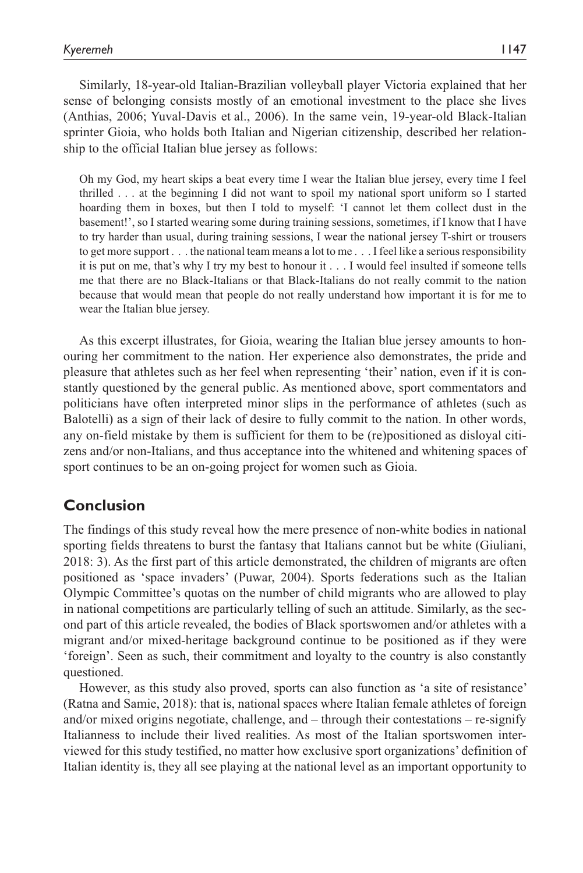Similarly, 18-year-old Italian-Brazilian volleyball player Victoria explained that her sense of belonging consists mostly of an emotional investment to the place she lives (Anthias, 2006; Yuval-Davis et al., 2006). In the same vein, 19-year-old Black-Italian sprinter Gioia, who holds both Italian and Nigerian citizenship, described her relationship to the official Italian blue jersey as follows:

Oh my God, my heart skips a beat every time I wear the Italian blue jersey, every time I feel thrilled . . . at the beginning I did not want to spoil my national sport uniform so I started hoarding them in boxes, but then I told to myself: 'I cannot let them collect dust in the basement!', so I started wearing some during training sessions, sometimes, if I know that I have to try harder than usual, during training sessions, I wear the national jersey T-shirt or trousers to get more support . . . the national team means a lot to me . . . I feel like a serious responsibility it is put on me, that's why I try my best to honour it . . . I would feel insulted if someone tells me that there are no Black-Italians or that Black-Italians do not really commit to the nation because that would mean that people do not really understand how important it is for me to wear the Italian blue jersey.

As this excerpt illustrates, for Gioia, wearing the Italian blue jersey amounts to honouring her commitment to the nation. Her experience also demonstrates, the pride and pleasure that athletes such as her feel when representing 'their' nation, even if it is constantly questioned by the general public. As mentioned above, sport commentators and politicians have often interpreted minor slips in the performance of athletes (such as Balotelli) as a sign of their lack of desire to fully commit to the nation. In other words, any on-field mistake by them is sufficient for them to be (re)positioned as disloyal citizens and/or non-Italians, and thus acceptance into the whitened and whitening spaces of sport continues to be an on-going project for women such as Gioia.

# **Conclusion**

The findings of this study reveal how the mere presence of non-white bodies in national sporting fields threatens to burst the fantasy that Italians cannot but be white (Giuliani, 2018: 3). As the first part of this article demonstrated, the children of migrants are often positioned as 'space invaders' (Puwar, 2004). Sports federations such as the Italian Olympic Committee's quotas on the number of child migrants who are allowed to play in national competitions are particularly telling of such an attitude. Similarly, as the second part of this article revealed, the bodies of Black sportswomen and/or athletes with a migrant and/or mixed-heritage background continue to be positioned as if they were 'foreign'. Seen as such, their commitment and loyalty to the country is also constantly questioned.

However, as this study also proved, sports can also function as 'a site of resistance' (Ratna and Samie, 2018): that is, national spaces where Italian female athletes of foreign and/or mixed origins negotiate, challenge, and  $-$  through their contestations  $-$  re-signify Italianness to include their lived realities. As most of the Italian sportswomen interviewed for this study testified, no matter how exclusive sport organizations' definition of Italian identity is, they all see playing at the national level as an important opportunity to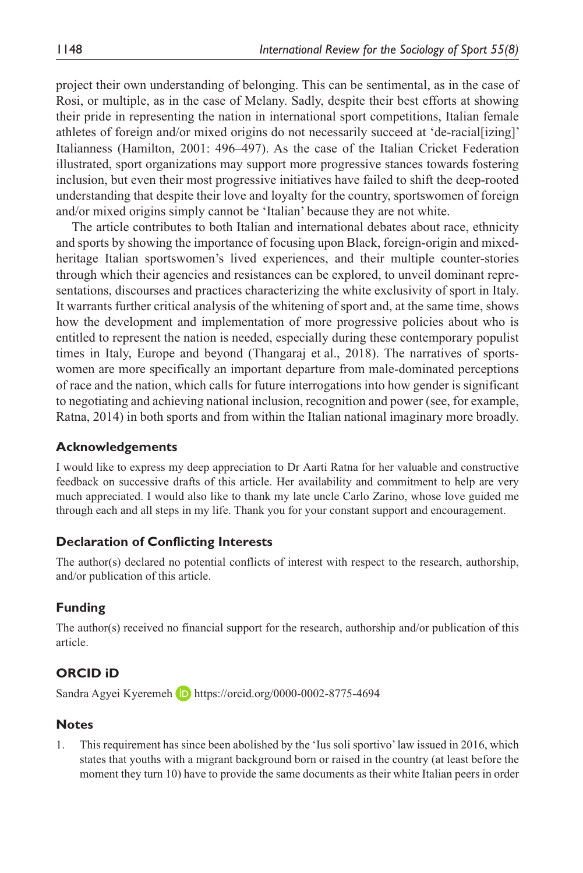project their own understanding of belonging. This can be sentimental, as in the case of Rosi, or multiple, as in the case of Melany. Sadly, despite their best efforts at showing their pride in representing the nation in international sport competitions, Italian female athletes of foreign and/or mixed origins do not necessarily succeed at 'de-racial[izing]' Italianness (Hamilton, 2001: 496–497). As the case of the Italian Cricket Federation illustrated, sport organizations may support more progressive stances towards fostering inclusion, but even their most progressive initiatives have failed to shift the deep-rooted understanding that despite their love and loyalty for the country, sportswomen of foreign and/or mixed origins simply cannot be 'Italian' because they are not white.

The article contributes to both Italian and international debates about race, ethnicity and sports by showing the importance of focusing upon Black, foreign-origin and mixedheritage Italian sportswomen's lived experiences, and their multiple counter-stories through which their agencies and resistances can be explored, to unveil dominant representations, discourses and practices characterizing the white exclusivity of sport in Italy. It warrants further critical analysis of the whitening of sport and, at the same time, shows how the development and implementation of more progressive policies about who is entitled to represent the nation is needed, especially during these contemporary populist times in Italy, Europe and beyond (Thangaraj et al., 2018). The narratives of sportswomen are more specifically an important departure from male-dominated perceptions of race and the nation, which calls for future interrogations into how gender is significant to negotiating and achieving national inclusion, recognition and power (see, for example, Ratna, 2014) in both sports and from within the Italian national imaginary more broadly.

#### **Acknowledgements**

I would like to express my deep appreciation to Dr Aarti Ratna for her valuable and constructive feedback on successive drafts of this article. Her availability and commitment to help are very much appreciated. I would also like to thank my late uncle Carlo Zarino, whose love guided me through each and all steps in my life. Thank you for your constant support and encouragement.

### **Declaration of Conflicting Interests**

The author(s) declared no potential conflicts of interest with respect to the research, authorship, and/or publication of this article.

### **Funding**

The author(s) received no financial support for the research, authorship and/or publication of this article.

# **ORCID iD**

Sandra Agyei Kyeremeh D https://orcid.org/0000-0002-8775-4694

#### **Notes**

1. This requirement has since been abolished by the 'Ius soli sportivo' law issued in 2016, which states that youths with a migrant background born or raised in the country (at least before the moment they turn 10) have to provide the same documents as their white Italian peers in order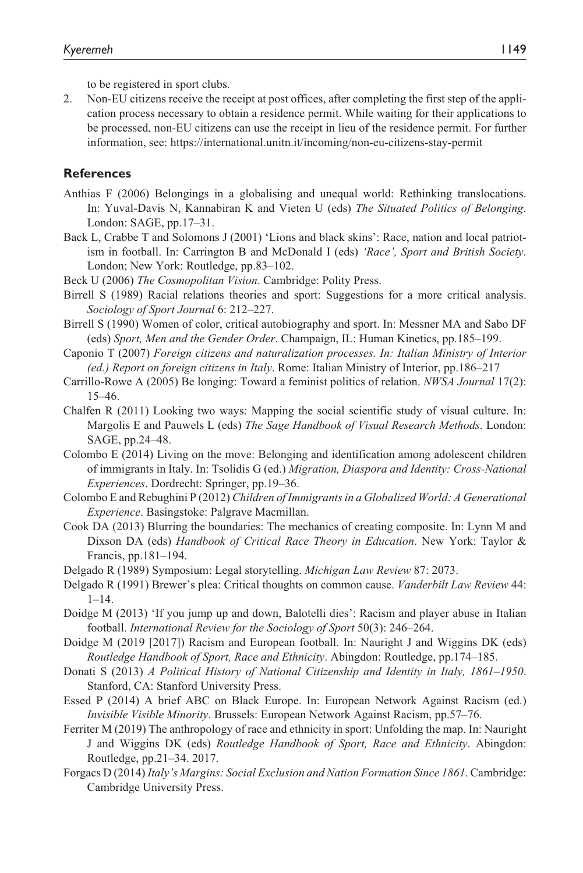to be registered in sport clubs.

2. Non-EU citizens receive the receipt at post offices, after completing the first step of the application process necessary to obtain a residence permit. While waiting for their applications to be processed, non-EU citizens can use the receipt in lieu of the residence permit. For further information, see: https://international.unitn.it/incoming/non-eu-citizens-stay-permit

#### **References**

- Anthias F (2006) Belongings in a globalising and unequal world: Rethinking translocations. In: Yuval-Davis N, Kannabiran K and Vieten U (eds) *The Situated Politics of Belonging*. London: SAGE, pp.17–31.
- Back L, Crabbe T and Solomons J (2001) 'Lions and black skins': Race, nation and local patriotism in football. In: Carrington B and McDonald I (eds) *'Race', Sport and British Society*. London; New York: Routledge, pp.83–102.
- Beck U (2006) *The Cosmopolitan Vision*. Cambridge: Polity Press.
- Birrell S (1989) Racial relations theories and sport: Suggestions for a more critical analysis. *Sociology of Sport Journal* 6: 212–227.
- Birrell S (1990) Women of color, critical autobiography and sport. In: Messner MA and Sabo DF (eds) *Sport, Men and the Gender Order*. Champaign, IL: Human Kinetics, pp.185–199.
- Caponio T (2007) *Foreign citizens and naturalization processes. In: Italian Ministry of Interior (ed.) Report on foreign citizens in Italy*. Rome: Italian Ministry of Interior, pp.186–217
- Carrillo-Rowe A (2005) Be longing: Toward a feminist politics of relation. *NWSA Journal* 17(2): 15–46.
- Chalfen R (2011) Looking two ways: Mapping the social scientific study of visual culture. In: Margolis E and Pauwels L (eds) *The Sage Handbook of Visual Research Methods*. London: SAGE, pp.24–48.
- Colombo E (2014) Living on the move: Belonging and identification among adolescent children of immigrants in Italy. In: Tsolidis G (ed.) *Migration, Diaspora and Identity: Cross-National Experiences*. Dordrecht: Springer, pp.19–36.
- Colombo E and Rebughini P (2012) *Children of Immigrants in a Globalized World: A Generational Experience*. Basingstoke: Palgrave Macmillan.
- Cook DA (2013) Blurring the boundaries: The mechanics of creating composite. In: Lynn M and Dixson DA (eds) *Handbook of Critical Race Theory in Education*. New York: Taylor & Francis, pp.181–194.
- Delgado R (1989) Symposium: Legal storytelling. *Michigan Law Review* 87: 2073.
- Delgado R (1991) Brewer's plea: Critical thoughts on common cause. *Vanderbilt Law Review* 44: 1–14.
- Doidge M (2013) 'If you jump up and down, Balotelli dies': Racism and player abuse in Italian football. *International Review for the Sociology of Sport* 50(3): 246–264.
- Doidge M (2019 [2017]) Racism and European football. In: Nauright J and Wiggins DK (eds) *Routledge Handbook of Sport, Race and Ethnicity*. Abingdon: Routledge, pp.174–185.
- Donati S (2013) *A Political History of National Citizenship and Identity in Italy, 1861–1950*. Stanford, CA: Stanford University Press.
- Essed P (2014) A brief ABC on Black Europe. In: European Network Against Racism (ed.) *Invisible Visible Minority*. Brussels: European Network Against Racism, pp.57–76.
- Ferriter M (2019) The anthropology of race and ethnicity in sport: Unfolding the map. In: Nauright J and Wiggins DK (eds) *Routledge Handbook of Sport, Race and Ethnicity*. Abingdon: Routledge, pp.21–34. 2017.
- Forgacs D (2014) *Italy's Margins: Social Exclusion and Nation Formation Since 1861*. Cambridge: Cambridge University Press.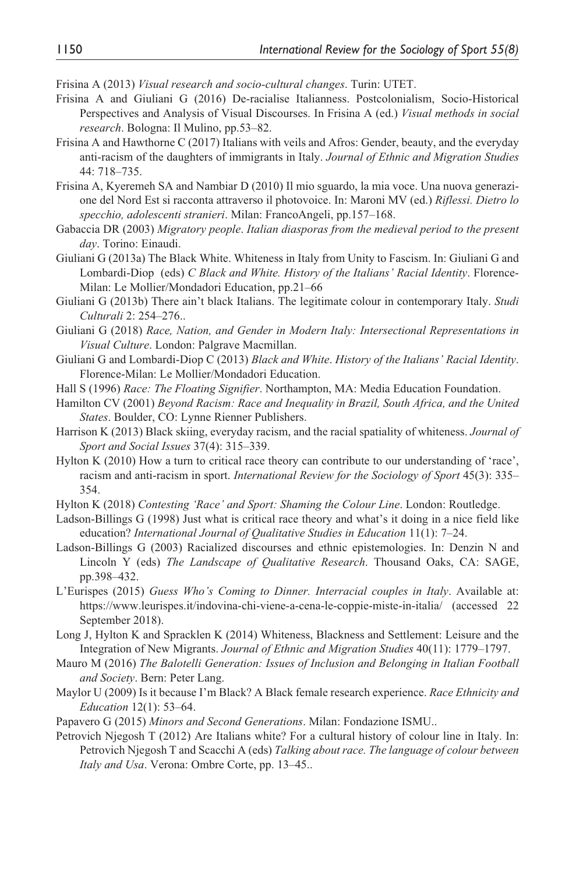Frisina A (2013) *Visual research and socio-cultural changes*. Turin: UTET.

- Frisina A and Giuliani G (2016) De-racialise Italianness. Postcolonialism, Socio-Historical Perspectives and Analysis of Visual Discourses. In Frisina A (ed.) *Visual methods in social research*. Bologna: Il Mulino, pp.53–82.
- Frisina A and Hawthorne C (2017) Italians with veils and Afros: Gender, beauty, and the everyday anti-racism of the daughters of immigrants in Italy. *Journal of Ethnic and Migration Studies* 44: 718–735.
- Frisina A, Kyeremeh SA and Nambiar D (2010) Il mio sguardo, la mia voce. Una nuova generazione del Nord Est si racconta attraverso il photovoice. In: Maroni MV (ed.) *Riflessi. Dietro lo specchio, adolescenti stranieri*. Milan: FrancoAngeli, pp.157–168.
- Gabaccia DR (2003) *Migratory people*. *Italian diasporas from the medieval period to the present day*. Torino: Einaudi.
- Giuliani G (2013a) The Black White. Whiteness in Italy from Unity to Fascism. In: Giuliani G and Lombardi-Diop (eds) *C Black and White. History of the Italians' Racial Identity*. Florence-Milan: Le Mollier/Mondadori Education, pp.21–66
- Giuliani G (2013b) There ain't black Italians. The legitimate colour in contemporary Italy. *Studi Culturali* 2: 254–276..
- Giuliani G (2018) *Race, Nation, and Gender in Modern Italy: Intersectional Representations in Visual Culture*. London: Palgrave Macmillan.
- Giuliani G and Lombardi-Diop C (2013) *Black and White*. *History of the Italians' Racial Identity*. Florence-Milan: Le Mollier/Mondadori Education.
- Hall S (1996) *Race: The Floating Signifier*. Northampton, MA: Media Education Foundation.
- Hamilton CV (2001) *Beyond Racism: Race and Inequality in Brazil, South Africa, and the United States*. Boulder, CO: Lynne Rienner Publishers.
- Harrison K (2013) Black skiing, everyday racism, and the racial spatiality of whiteness. *Journal of Sport and Social Issues* 37(4): 315–339.
- Hylton K (2010) How a turn to critical race theory can contribute to our understanding of 'race', racism and anti-racism in sport. *International Review for the Sociology of Sport* 45(3): 335– 354.
- Hylton K (2018) *Contesting 'Race' and Sport: Shaming the Colour Line*. London: Routledge.
- Ladson-Billings G (1998) Just what is critical race theory and what's it doing in a nice field like education? *International Journal of Qualitative Studies in Education* 11(1): 7–24.
- Ladson-Billings G (2003) Racialized discourses and ethnic epistemologies. In: Denzin N and Lincoln Y (eds) *The Landscape of Qualitative Research*. Thousand Oaks, CA: SAGE, pp.398–432.
- L'Eurispes (2015) *Guess Who's Coming to Dinner. Interracial couples in Italy*. Available at: https://www.leurispes.it/indovina-chi-viene-a-cena-le-coppie-miste-in-italia/ (accessed 22 September 2018).
- Long J, Hylton K and Spracklen K (2014) Whiteness, Blackness and Settlement: Leisure and the Integration of New Migrants. *Journal of Ethnic and Migration Studies* 40(11): 1779–1797.
- Mauro M (2016) *The Balotelli Generation: Issues of Inclusion and Belonging in Italian Football and Society*. Bern: Peter Lang.
- Maylor U (2009) Is it because I'm Black? A Black female research experience. *Race Ethnicity and Education* 12(1): 53–64.
- Papavero G (2015) *Minors and Second Generations*. Milan: Fondazione ISMU..
- Petrovich Njegosh T (2012) Are Italians white? For a cultural history of colour line in Italy. In: Petrovich Njegosh T and Scacchi A (eds) *Talking about race. The language of colour between Italy and Usa*. Verona: Ombre Corte, pp. 13–45..